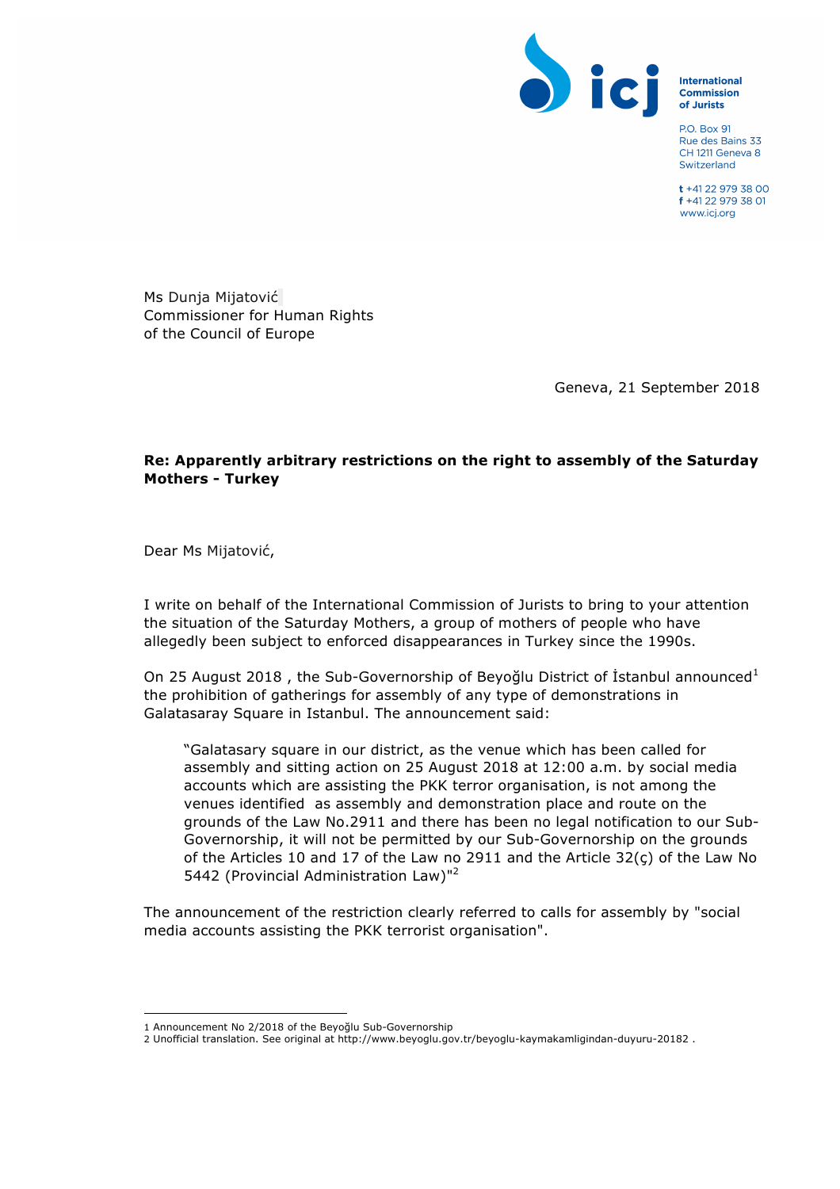

**International Commission** of Jurists

**PO Box 91** Rue des Bains 33 CH 1211 Geneva 8 Switzerland

 $t + 41$  22 979 38 00 f +41 22 979 38 01 www.icj.org

Ms Dunja Mijatović Commissioner for Human Rights of the Council of Europe

Geneva, 21 September 2018

## **Re: Apparently arbitrary restrictions on the right to assembly of the Saturday Mothers - Turkey**

Dear Ms Mijatović,

I write on behalf of the International Commission of Jurists to bring to your attention the situation of the Saturday Mothers, a group of mothers of people who have allegedly been subject to enforced disappearances in Turkey since the 1990s.

On 25 August 2018, the Sub-Governorship of Beyoğlu District of İstanbul announced<sup>1</sup> the prohibition of gatherings for assembly of any type of demonstrations in Galatasaray Square in Istanbul. The announcement said:

"Galatasary square in our district, as the venue which has been called for assembly and sitting action on 25 August 2018 at 12:00 a.m. by social media accounts which are assisting the PKK terror organisation, is not among the venues identified as assembly and demonstration place and route on the grounds of the Law No.2911 and there has been no legal notification to our Sub-Governorship, it will not be permitted by our Sub-Governorship on the grounds of the Articles 10 and 17 of the Law no 2911 and the Article 32(ç) of the Law No 5442 (Provincial Administration Law)"<sup>2</sup>

The announcement of the restriction clearly referred to calls for assembly by "social media accounts assisting the PKK terrorist organisation".

 

<sup>1</sup> Announcement No 2/2018 of the Beyoğlu Sub-Governorship

<sup>2</sup> Unofficial translation. See original at http://www.beyoglu.gov.tr/beyoglu-kaymakamligindan-duyuru-20182 .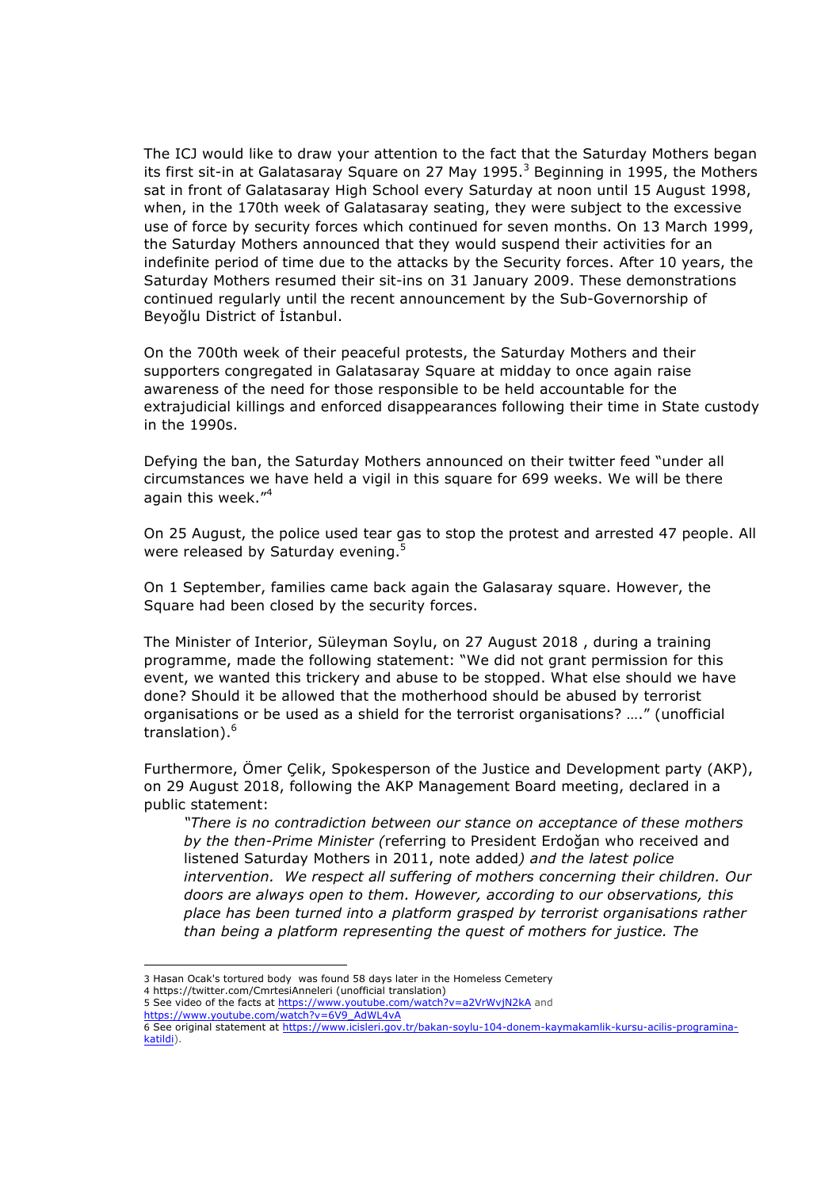The ICJ would like to draw your attention to the fact that the Saturday Mothers began its first sit-in at Galatasaray Square on 27 May 1995. $3$  Beginning in 1995, the Mothers sat in front of Galatasaray High School every Saturday at noon until 15 August 1998, when, in the 170th week of Galatasaray seating, they were subject to the excessive use of force by security forces which continued for seven months. On 13 March 1999, the Saturday Mothers announced that they would suspend their activities for an indefinite period of time due to the attacks by the Security forces. After 10 years, the Saturday Mothers resumed their sit-ins on 31 January 2009. These demonstrations continued regularly until the recent announcement by the Sub-Governorship of Beyoğlu District of İstanbul.

On the 700th week of their peaceful protests, the Saturday Mothers and their supporters congregated in Galatasaray Square at midday to once again raise awareness of the need for those responsible to be held accountable for the extrajudicial killings and enforced disappearances following their time in State custody in the 1990s.

Defying the ban, the Saturday Mothers announced on their twitter feed "under all circumstances we have held a vigil in this square for 699 weeks. We will be there again this week."<sup>4</sup>

On 25 August, the police used tear gas to stop the protest and arrested 47 people. All were released by Saturday evening.<sup>5</sup>

On 1 September, families came back again the Galasaray square. However, the Square had been closed by the security forces.

The Minister of Interior, Süleyman Soylu, on 27 August 2018 , during a training programme, made the following statement: "We did not grant permission for this event, we wanted this trickery and abuse to be stopped. What else should we have done? Should it be allowed that the motherhood should be abused by terrorist organisations or be used as a shield for the terrorist organisations? …." (unofficial translation).<sup>6</sup>

Furthermore, Ömer Çelik, Spokesperson of the Justice and Development party (AKP), on 29 August 2018, following the AKP Management Board meeting, declared in a public statement:

*"There is no contradiction between our stance on acceptance of these mothers by the then-Prime Minister (*referring to President Erdoğan who received and listened Saturday Mothers in 2011, note added*) and the latest police intervention. We respect all suffering of mothers concerning their children. Our doors are always open to them. However, according to our observations, this place has been turned into a platform grasped by terrorist organisations rather than being a platform representing the quest of mothers for justice. The* 

 

<sup>3</sup> Hasan Ocak's tortured body was found 58 days later in the Homeless Cemetery

<sup>4</sup> https://twitter.com/CmrtesiAnneleri (unofficial translation) 5 See video of the facts at https://www.youtube.com/watch?v=a2VrWvjN2kA and

https://www.youtube.com/watch?v=6V9\_AdWL4vA

<sup>6</sup> See original statement at https://www.icisleri.gov.tr/bakan-soylu-104-donem-kaymakamlik-kursu-acilis-programinakatildi).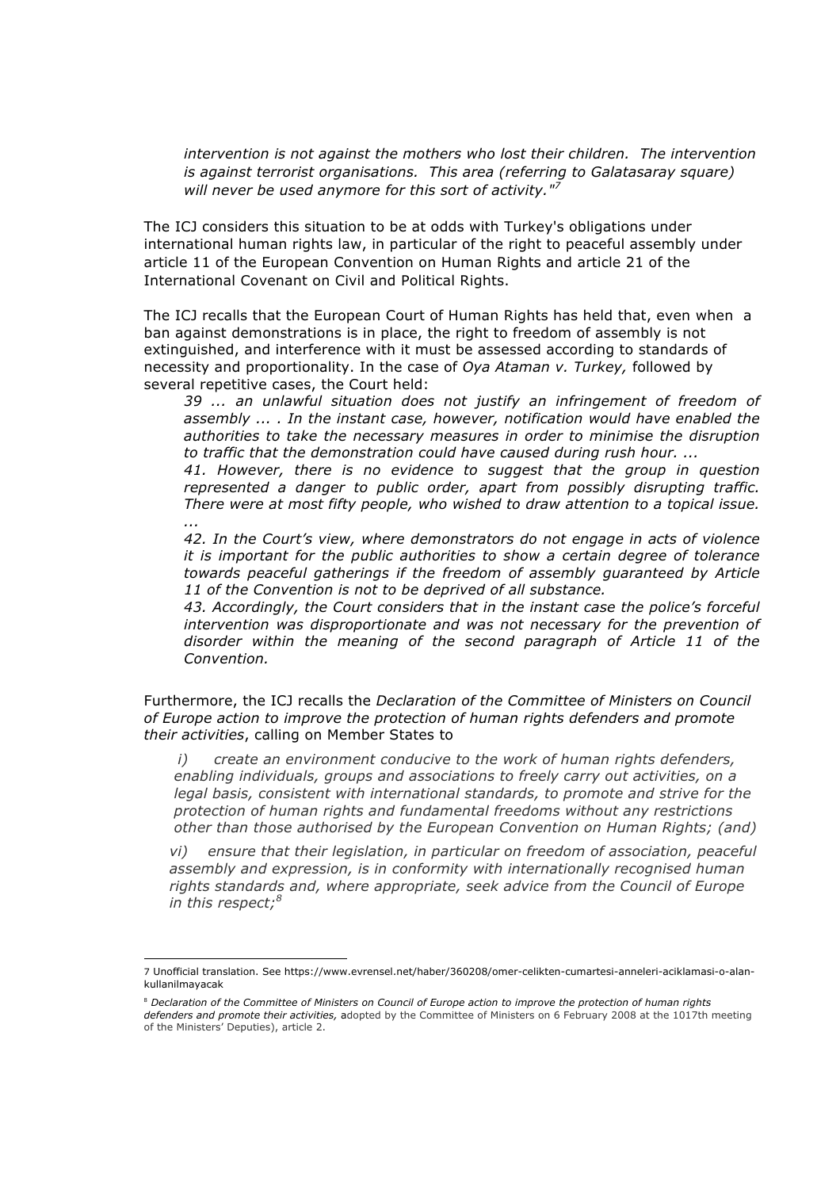*intervention is not against the mothers who lost their children. The intervention is against terrorist organisations. This area (referring to Galatasaray square) will never be used anymore for this sort of activity."<sup>7</sup>*

The ICJ considers this situation to be at odds with Turkey's obligations under international human rights law, in particular of the right to peaceful assembly under article 11 of the European Convention on Human Rights and article 21 of the International Covenant on Civil and Political Rights.

The ICJ recalls that the European Court of Human Rights has held that, even when a ban against demonstrations is in place, the right to freedom of assembly is not extinguished, and interference with it must be assessed according to standards of necessity and proportionality. In the case of *Oya Ataman v. Turkey,* followed by several repetitive cases, the Court held:

*39 ... an unlawful situation does not justify an infringement of freedom of assembly ... . In the instant case, however, notification would have enabled the authorities to take the necessary measures in order to minimise the disruption to traffic that the demonstration could have caused during rush hour. ...*

*41. However, there is no evidence to suggest that the group in question represented a danger to public order, apart from possibly disrupting traffic. There were at most fifty people, who wished to draw attention to a topical issue. ...*

*42. In the Court's view, where demonstrators do not engage in acts of violence it is important for the public authorities to show a certain degree of tolerance towards peaceful gatherings if the freedom of assembly guaranteed by Article 11 of the Convention is not to be deprived of all substance.*

*43. Accordingly, the Court considers that in the instant case the police's forceful intervention was disproportionate and was not necessary for the prevention of disorder within the meaning of the second paragraph of Article 11 of the Convention.*

Furthermore, the ICJ recalls the *Declaration of the Committee of Ministers on Council of Europe action to improve the protection of human rights defenders and promote their activities*, calling on Member States to

*i) create an environment conducive to the work of human rights defenders, enabling individuals, groups and associations to freely carry out activities, on a legal basis, consistent with international standards, to promote and strive for the protection of human rights and fundamental freedoms without any restrictions other than those authorised by the European Convention on Human Rights; (and)*

*vi) ensure that their legislation, in particular on freedom of association, peaceful assembly and expression, is in conformity with internationally recognised human rights standards and, where appropriate, seek advice from the Council of Europe in this respect;<sup>8</sup>*

 

<sup>7</sup> Unofficial translation. See https://www.evrensel.net/haber/360208/omer-celikten-cumartesi-anneleri-aciklamasi-o-alankullanilmayacak

<sup>8</sup> *Declaration of the Committee of Ministers on Council of Europe action to improve the protection of human rights defenders and promote their activities,* adopted by the Committee of Ministers on 6 February 2008 at the 1017th meeting of the Ministers' Deputies), article 2.